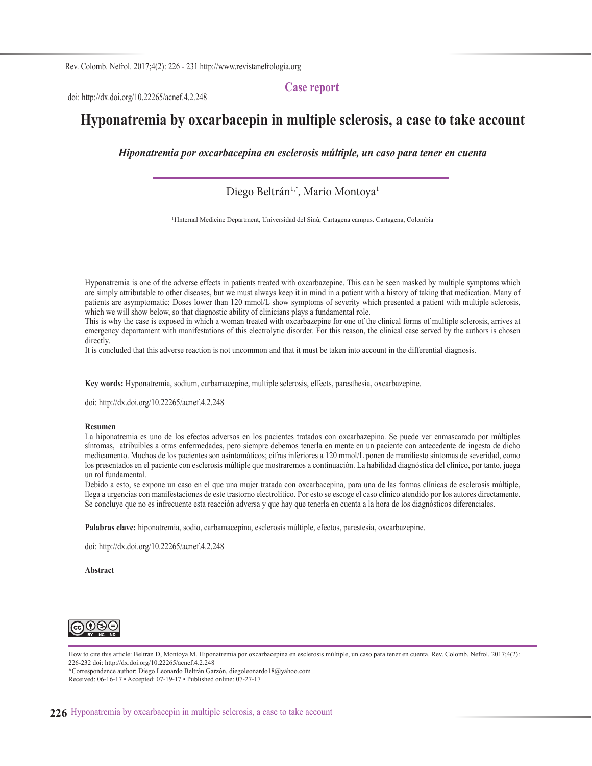**Case report**

doi: http://dx.doi.org/10.22265/acnef.4.2.248

# **Hyponatremia by oxcarbacepin in multiple sclerosis, a case to take account**

*Hiponatremia por oxcarbacepina en esclerosis múltiple, un caso para tener en cuenta*

#### Diego Beltrán<sup>1,\*</sup>, Mario Montoya<sup>1</sup>

1 1Internal Medicine Department, Universidad del Sinú, Cartagena campus. Cartagena, Colombia

Hyponatremia is one of the adverse effects in patients treated with oxcarbazepine. This can be seen masked by multiple symptoms which are simply attributable to other diseases, but we must always keep it in mind in a patient with a history of taking that medication. Many of patients are asymptomatic; Doses lower than 120 mmol/L show symptoms of severity which presented a patient with multiple sclerosis, which we will show below, so that diagnostic ability of clinicians plays a fundamental role.

This is why the case is exposed in which a woman treated with oxcarbazepine for one of the clinical forms of multiple sclerosis, arrives at emergency departament with manifestations of this electrolytic disorder. For this reason, the clinical case served by the authors is chosen directly.

It is concluded that this adverse reaction is not uncommon and that it must be taken into account in the differential diagnosis.

**Key words:** Hyponatremia, sodium, carbamacepine, multiple sclerosis, effects, paresthesia, oxcarbazepine.

doi: http://dx.doi.org/10.22265/acnef.4.2.248

#### **Resumen**

La hiponatremia es uno de los efectos adversos en los pacientes tratados con oxcarbazepina. Se puede ver enmascarada por múltiples síntomas, atribuibles a otras enfermedades, pero siempre debemos tenerla en mente en un paciente con antecedente de ingesta de dicho medicamento. Muchos de los pacientes son asintomáticos; cifras inferiores a 120 mmol/L ponen de manifiesto síntomas de severidad, como los presentados en el paciente con esclerosis múltiple que mostraremos a continuación. La habilidad diagnóstica del clínico, por tanto, juega un rol fundamental.

Debido a esto, se expone un caso en el que una mujer tratada con oxcarbacepina, para una de las formas clínicas de esclerosis múltiple, llega a urgencias con manifestaciones de este trastorno electrolítico. Por esto se escoge el caso clínico atendido por los autores directamente. Se concluye que no es infrecuente esta reacción adversa y que hay que tenerla en cuenta a la hora de los diagnósticos diferenciales.

**Palabras clave:** hiponatremia, sodio, carbamacepina, esclerosis múltiple, efectos, parestesia, oxcarbazepine.

doi: http://dx.doi.org/10.22265/acnef.4.2.248

**Abstract**



How to cite this article: Beltrán D, Montoya M. Hiponatremia por oxcarbacepina en esclerosis múltiple, un caso para tener en cuenta. Rev. Colomb. Nefrol. 2017;4(2): 226-232 doi: http://dx.doi.org/10.22265/acnef.4.2.248

\*Correspondence author: Diego Leonardo Beltrán Garzón, diegoleonardo18@yahoo.com Received: 06-16-17 • Accepted: 07-19-17 • Published online: 07-27-17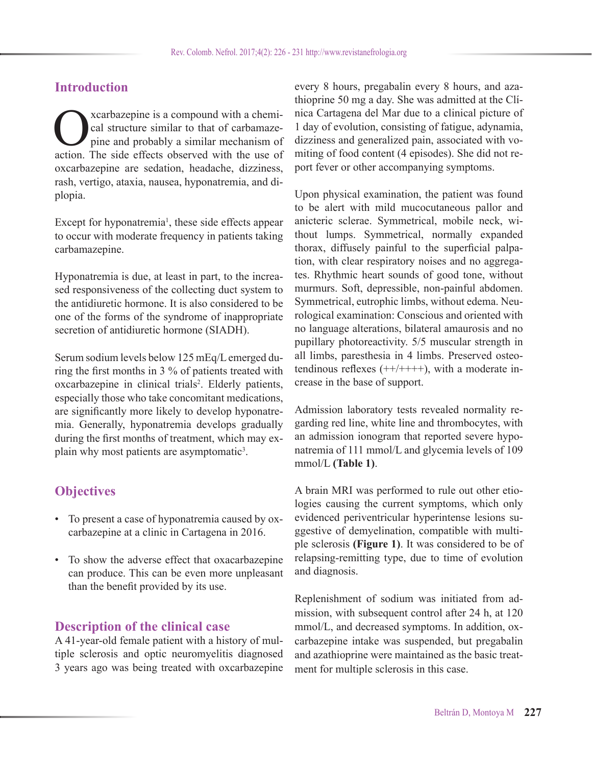## **Introduction**

Constructure is a compound with a chemical structure similar to that of carbamaze-<br>pine and probably a similar mechanism of<br>action. The side effects observed with the use of cal structure similar to that of carbamazepine and probably a similar mechanism of action. The side effects observed with the use of oxcarbazepine are sedation, headache, dizziness, rash, vertigo, ataxia, nausea, hyponatremia, and diplopia.

Except for hyponatremia<sup>1</sup>, these side effects appear to occur with moderate frequency in patients taking carbamazepine.

Hyponatremia is due, at least in part, to the increased responsiveness of the collecting duct system to the antidiuretic hormone. It is also considered to be one of the forms of the syndrome of inappropriate secretion of antidiuretic hormone (SIADH).

Serum sodium levels below 125 mEq/L emerged during the first months in 3 % of patients treated with oxcarbazepine in clinical trials<sup>2</sup>. Elderly patients, especially those who take concomitant medications, are significantly more likely to develop hyponatremia. Generally, hyponatremia develops gradually during the first months of treatment, which may explain why most patients are asymptomatic<sup>3</sup>.

# **Objectives**

- To present a case of hyponatremia caused by oxcarbazepine at a clinic in Cartagena in 2016.
- To show the adverse effect that oxacarbazepine can produce. This can be even more unpleasant than the benefit provided by its use.

### **Description of the clinical case**

A 41-year-old female patient with a history of multiple sclerosis and optic neuromyelitis diagnosed 3 years ago was being treated with oxcarbazepine every 8 hours, pregabalin every 8 hours, and azathioprine 50 mg a day. She was admitted at the Clínica Cartagena del Mar due to a clinical picture of 1 day of evolution, consisting of fatigue, adynamia, dizziness and generalized pain, associated with vomiting of food content (4 episodes). She did not report fever or other accompanying symptoms.

Upon physical examination, the patient was found to be alert with mild mucocutaneous pallor and anicteric sclerae. Symmetrical, mobile neck, without lumps. Symmetrical, normally expanded thorax, diffusely painful to the superficial palpation, with clear respiratory noises and no aggregates. Rhythmic heart sounds of good tone, without murmurs. Soft, depressible, non-painful abdomen. Symmetrical, eutrophic limbs, without edema. Neurological examination: Conscious and oriented with no language alterations, bilateral amaurosis and no pupillary photoreactivity. 5/5 muscular strength in all limbs, paresthesia in 4 limbs. Preserved osteotendinous reflexes  $(++/+++)$ , with a moderate increase in the base of support.

Admission laboratory tests revealed normality regarding red line, white line and thrombocytes, with an admission ionogram that reported severe hyponatremia of 111 mmol/L and glycemia levels of 109 mmol/L **(Table 1)**.

A brain MRI was performed to rule out other etiologies causing the current symptoms, which only evidenced periventricular hyperintense lesions suggestive of demyelination, compatible with multiple sclerosis **(Figure 1)**. It was considered to be of relapsing-remitting type, due to time of evolution and diagnosis.

Replenishment of sodium was initiated from admission, with subsequent control after 24 h, at 120 mmol/L, and decreased symptoms. In addition, oxcarbazepine intake was suspended, but pregabalin and azathioprine were maintained as the basic treatment for multiple sclerosis in this case.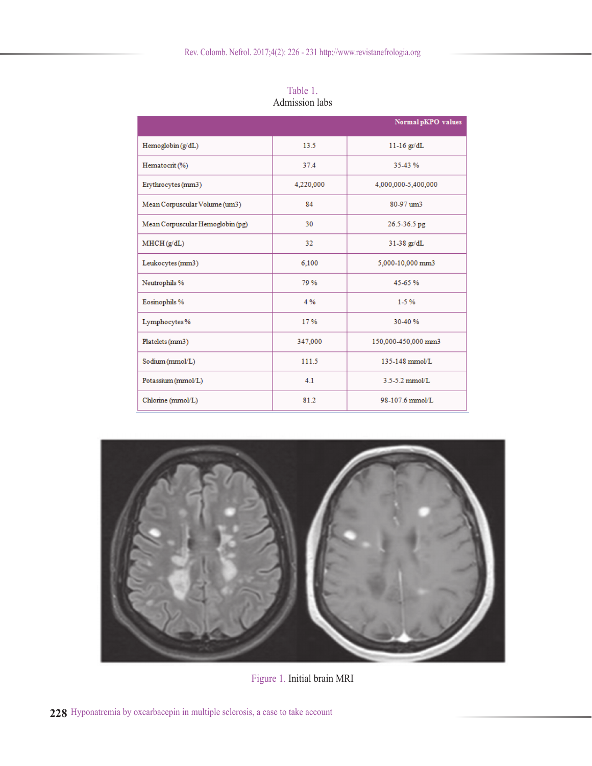|                                  |           | Normal pKPO values  |
|----------------------------------|-----------|---------------------|
| Hemoglobin (g/dL)                | 13.5      | $11-16$ gr/dL       |
| Hematocrit (%)                   | 37.4      | 35-43%              |
| Erythrocytes (mm3)               | 4,220,000 | 4,000,000-5,400,000 |
| Mean Corpuscular Volume (um3)    | 84        | 80-97 um3           |
| Mean Corpuscular Hemoglobin (pg) | 30        | 26.5-36.5 pg        |
| MHCH(g/dL)                       | 32        | $31-38$ gr/dL       |
| Leukocytes (mm3)                 | 6,100     | 5,000-10,000 mm3    |
| Neutrophils %                    | 79%       | 45-65%              |
| Eosinophils %                    | 4%        | $1-5\%$             |
| Lymphocytes%                     | 17%       | 30-40%              |
| Platelets (mm3)                  | 347,000   | 150,000-450,000 mm3 |
| Sodium (mmol/L)                  | 111.5     | 135-148 mmol/L      |
| Potassium (mmol/L)               | 4.1       | $3.5 - 5.2$ mmol/L  |
| Chlorine (mmol/L)                | 81.2      | 98-107.6 mmol/L     |

Table 1. Admission labs



Figure 1. Initial brain MRI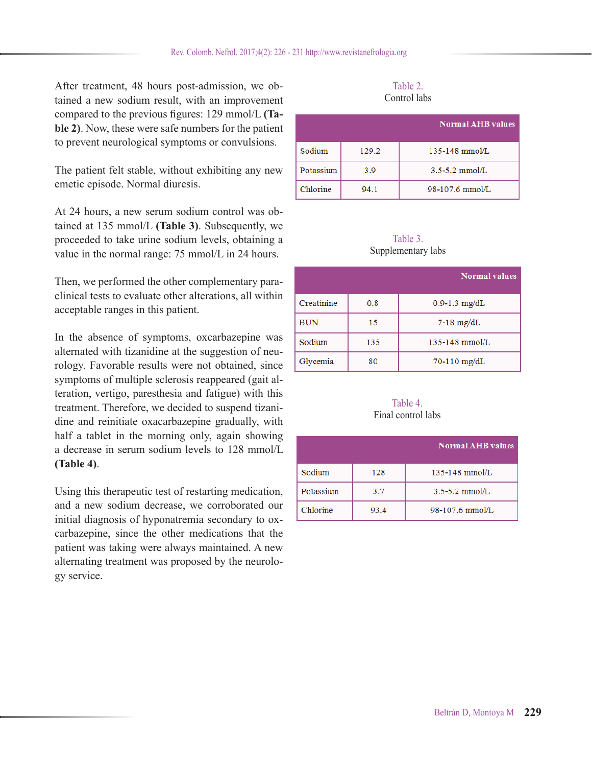After treatment, 48 hours post-admission, we obtained a new sodium result, with an improvement compared to the previous figures: 129 mmol/L **(Table 2)**. Now, these were safe numbers for the patient to prevent neurological symptoms or convulsions.

The patient felt stable, without exhibiting any new emetic episode. Normal diuresis.

At 24 hours, a new serum sodium control was obtained at 135 mmol/L **(Table 3)**. Subsequently, we proceeded to take urine sodium levels, obtaining a value in the normal range: 75 mmol/L in 24 hours.

Then, we performed the other complementary paraclinical tests to evaluate other alterations, all within acceptable ranges in this patient.

In the absence of symptoms, oxcarbazepine was alternated with tizanidine at the suggestion of neurology. Favorable results were not obtained, since symptoms of multiple sclerosis reappeared (gait alteration, vertigo, paresthesia and fatigue) with this treatment. Therefore, we decided to suspend tizanidine and reinitiate oxacarbazepine gradually, with half a tablet in the morning only, again showing a decrease in serum sodium levels to 128 mmol/L **(Table 4)**.

Using this therapeutic test of restarting medication, and a new sodium decrease, we corroborated our initial diagnosis of hyponatremia secondary to oxcarbazepine, since the other medications that the patient was taking were always maintained. A new alternating treatment was proposed by the neurology service.

| Table 2.     |  |
|--------------|--|
| Control labs |  |

|           |       | <b>Normal AHB values</b> |
|-----------|-------|--------------------------|
| Sodium    | 129.2 | $135 - 148$ mmol/L       |
| Potassium | 3.9   | $3.5 - 5.2$ mmol/L       |
| Chlorine  | 94.1  | 98-107.6 mmol/L          |

#### Table 3. Supplementary labs

|            |     | <b>Normal values</b> |
|------------|-----|----------------------|
| Creatinine | 0.8 | $0.9 - 1.3$ mg/dL    |
| <b>BUN</b> | 15  | $7-18$ mg/dL         |
| Sodium     | 135 | $135 - 148$ mmol/L   |
| Glycemia   | 80  | $70-110$ mg/dL       |

#### Table 4. Final control labs

|           |      | <b>Normal AHB values</b> |
|-----------|------|--------------------------|
| Sodium    | 128  | $135 - 148$ mmol/L       |
| Potassium | 3.7  | $3.5 - 5.2$ mmol/L       |
| Chlorine  | 93.4 | 98-107.6 mmol/L          |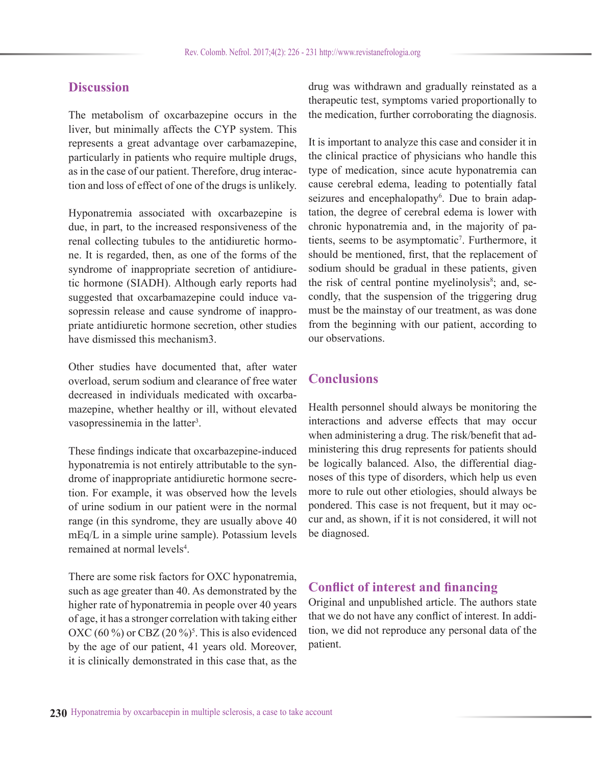## **Discussion**

The metabolism of oxcarbazepine occurs in the liver, but minimally affects the CYP system. This represents a great advantage over carbamazepine, particularly in patients who require multiple drugs, as in the case of our patient. Therefore, drug interaction and loss of effect of one of the drugs is unlikely.

Hyponatremia associated with oxcarbazepine is due, in part, to the increased responsiveness of the renal collecting tubules to the antidiuretic hormone. It is regarded, then, as one of the forms of the syndrome of inappropriate secretion of antidiuretic hormone (SIADH). Although early reports had suggested that oxcarbamazepine could induce vasopressin release and cause syndrome of inappropriate antidiuretic hormone secretion, other studies have dismissed this mechanism3.

Other studies have documented that, after water overload, serum sodium and clearance of free water decreased in individuals medicated with oxcarbamazepine, whether healthy or ill, without elevated vasopressinemia in the latter<sup>3</sup>.

These findings indicate that oxcarbazepine-induced hyponatremia is not entirely attributable to the syndrome of inappropriate antidiuretic hormone secretion. For example, it was observed how the levels of urine sodium in our patient were in the normal range (in this syndrome, they are usually above 40 mEq/L in a simple urine sample). Potassium levels remained at normal levels<sup>4</sup>.

There are some risk factors for OXC hyponatremia, such as age greater than 40. As demonstrated by the higher rate of hyponatremia in people over 40 years of age, it has a stronger correlation with taking either OXC (60 %) or CBZ (20 %)<sup>5</sup>. This is also evidenced by the age of our patient, 41 years old. Moreover, it is clinically demonstrated in this case that, as the drug was withdrawn and gradually reinstated as a therapeutic test, symptoms varied proportionally to the medication, further corroborating the diagnosis.

It is important to analyze this case and consider it in the clinical practice of physicians who handle this type of medication, since acute hyponatremia can cause cerebral edema, leading to potentially fatal seizures and encephalopathy<sup>6</sup>. Due to brain adaptation, the degree of cerebral edema is lower with chronic hyponatremia and, in the majority of patients, seems to be asymptomatic<sup>7</sup>. Furthermore, it should be mentioned, first, that the replacement of sodium should be gradual in these patients, given the risk of central pontine myelinolysis<sup>8</sup>; and, secondly, that the suspension of the triggering drug must be the mainstay of our treatment, as was done from the beginning with our patient, according to our observations.

## **Conclusions**

Health personnel should always be monitoring the interactions and adverse effects that may occur when administering a drug. The risk/benefit that administering this drug represents for patients should be logically balanced. Also, the differential diagnoses of this type of disorders, which help us even more to rule out other etiologies, should always be pondered. This case is not frequent, but it may occur and, as shown, if it is not considered, it will not be diagnosed.

#### **Conflict of interest and financing**

Original and unpublished article. The authors state that we do not have any conflict of interest. In addition, we did not reproduce any personal data of the patient.